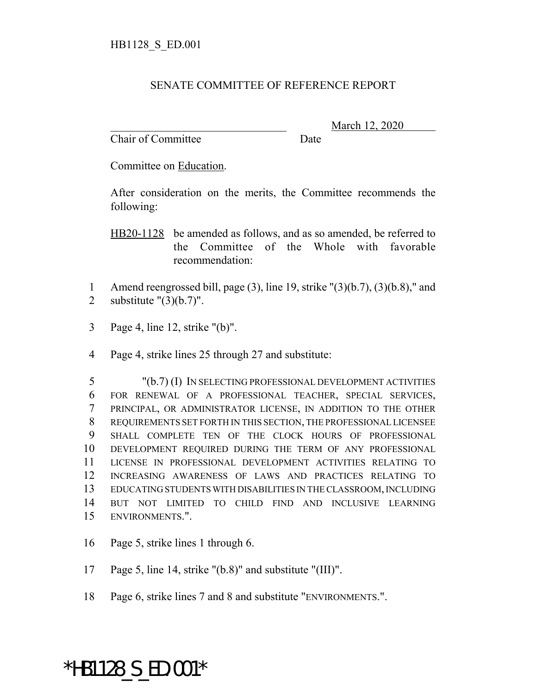## SENATE COMMITTEE OF REFERENCE REPORT

Chair of Committee Date

\_\_\_\_\_\_\_\_\_\_\_\_\_\_\_\_\_\_\_\_\_\_\_\_\_\_\_\_\_\_\_ March 12, 2020

Committee on Education.

After consideration on the merits, the Committee recommends the following:

HB20-1128 be amended as follows, and as so amended, be referred to the Committee of the Whole with favorable recommendation:

- 1 Amend reengrossed bill, page (3), line 19, strike "(3)(b.7), (3)(b.8)," and 2 substitute  $"(3)(b.7)"$ .
- 3 Page 4, line 12, strike "(b)".
- 4 Page 4, strike lines 25 through 27 and substitute:

 "(b.7) (I) IN SELECTING PROFESSIONAL DEVELOPMENT ACTIVITIES FOR RENEWAL OF A PROFESSIONAL TEACHER, SPECIAL SERVICES, PRINCIPAL, OR ADMINISTRATOR LICENSE, IN ADDITION TO THE OTHER REQUIREMENTS SET FORTH IN THIS SECTION, THE PROFESSIONAL LICENSEE SHALL COMPLETE TEN OF THE CLOCK HOURS OF PROFESSIONAL DEVELOPMENT REQUIRED DURING THE TERM OF ANY PROFESSIONAL LICENSE IN PROFESSIONAL DEVELOPMENT ACTIVITIES RELATING TO INCREASING AWARENESS OF LAWS AND PRACTICES RELATING TO EDUCATING STUDENTS WITH DISABILITIES IN THE CLASSROOM, INCLUDING BUT NOT LIMITED TO CHILD FIND AND INCLUSIVE LEARNING ENVIRONMENTS.".

- 16 Page 5, strike lines 1 through 6.
- 17 Page 5, line 14, strike "(b.8)" and substitute "(III)".
- 18 Page 6, strike lines 7 and 8 and substitute "ENVIRONMENTS.".

## \*HB1128\_S\_ED.001\*